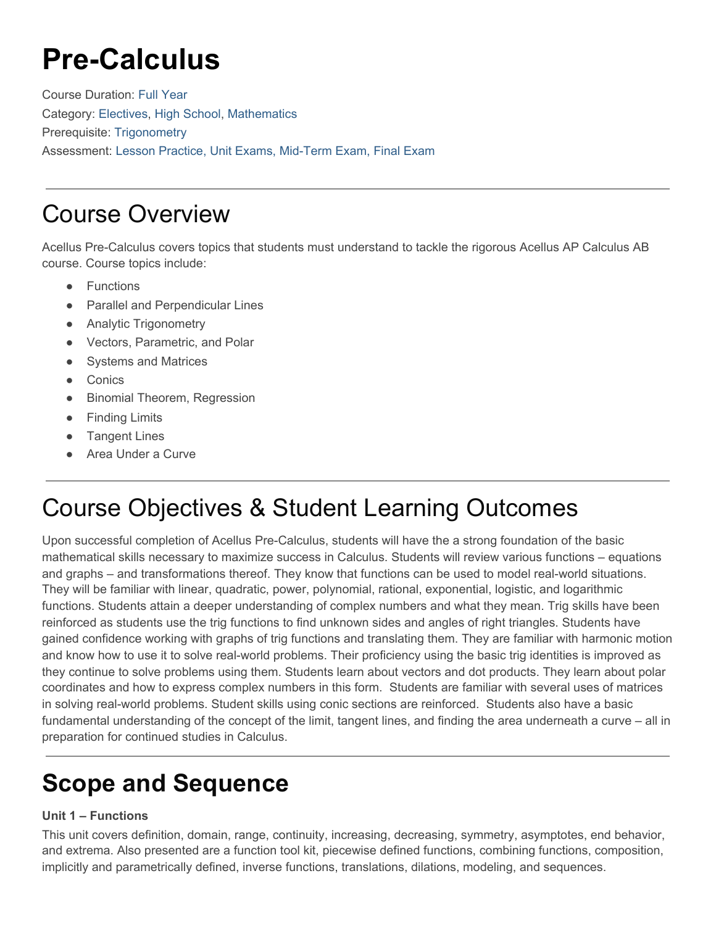# **Pre-Calculus**

Course Duration: Full Year Category: [Electives,](https://www.science.edu/acellus/course-category/high-school/electives-hs/) [High School,](https://www.science.edu/acellus/course-category/high-school/) [Mathematics](https://www.science.edu/acellus/course-category/high-school/mathematics-hs/) Prerequisite: Trigonometry Assessment: Lesson Practice, Unit Exams, Mid-Term Exam, Final Exam

## Course Overview

Acellus Pre-Calculus covers topics that students must understand to tackle the rigorous Acellus AP Calculus AB course. Course topics include:

- Functions
- **Parallel and Perpendicular Lines**
- Analytic Trigonometry
- Vectors, Parametric, and Polar
- Systems and Matrices
- Conics
- Binomial Theorem, Regression
- Finding Limits
- Tangent Lines
- Area Under a Curve

# Course Objectives & Student Learning Outcomes

Upon successful completion of Acellus Pre-Calculus, students will have the a strong foundation of the basic mathematical skills necessary to maximize success in Calculus. Students will review various functions – equations and graphs – and transformations thereof. They know that functions can be used to model real-world situations. They will be familiar with linear, quadratic, power, polynomial, rational, exponential, logistic, and logarithmic functions. Students attain a deeper understanding of complex numbers and what they mean. Trig skills have been reinforced as students use the trig functions to find unknown sides and angles of right triangles. Students have gained confidence working with graphs of trig functions and translating them. They are familiar with harmonic motion and know how to use it to solve real-world problems. Their proficiency using the basic trig identities is improved as they continue to solve problems using them. Students learn about vectors and dot products. They learn about polar coordinates and how to express complex numbers in this form. Students are familiar with several uses of matrices in solving real-world problems. Student skills using conic sections are reinforced. Students also have a basic fundamental understanding of the concept of the limit, tangent lines, and finding the area underneath a curve – all in preparation for continued studies in Calculus.

# **Scope and Sequence**

### **Unit 1 – Functions**

This unit covers definition, domain, range, continuity, increasing, decreasing, symmetry, asymptotes, end behavior, and extrema. Also presented are a function tool kit, piecewise defined functions, combining functions, composition, implicitly and parametrically defined, inverse functions, translations, dilations, modeling, and sequences.